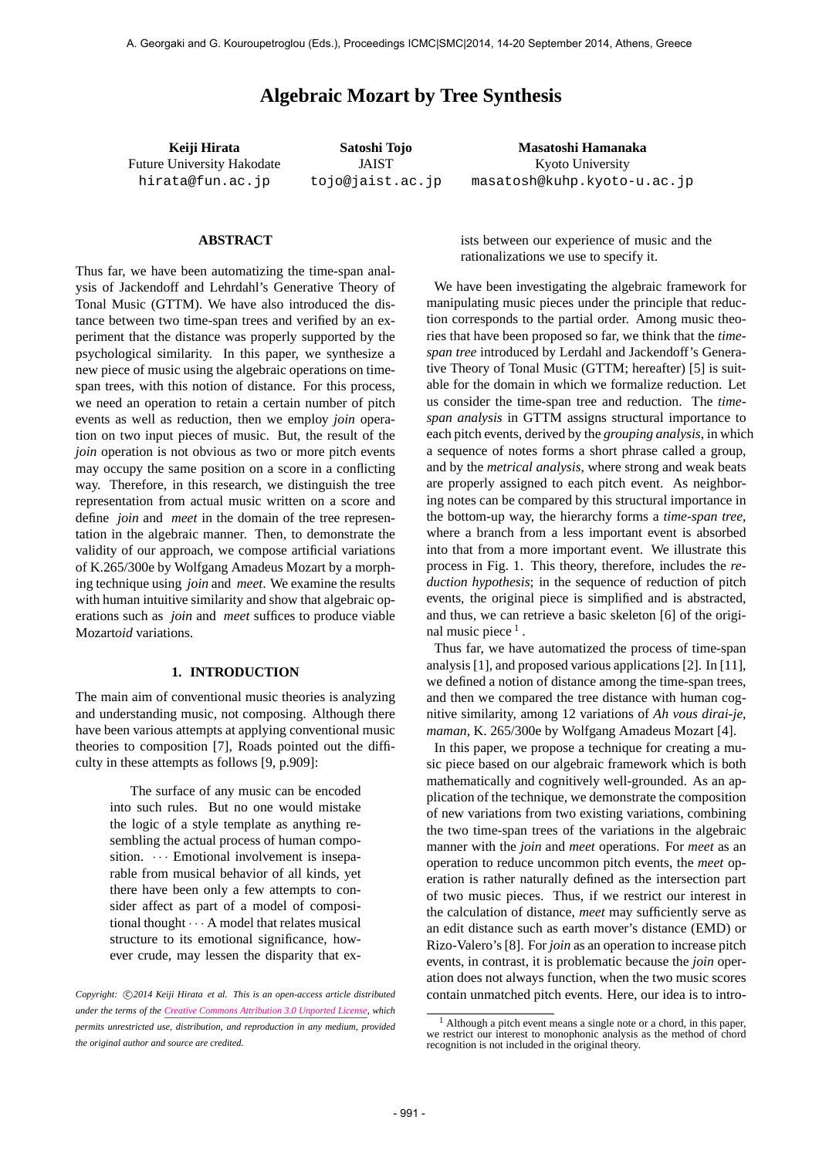# **Algebraic Mozart by Tree Synthesis**

**Keiji Hirata** Future University Hakodate hirata@fun.ac.jp

**Satoshi Tojo** JAIST tojo@jaist.ac.jp

**Masatoshi Hamanaka** Kyoto University masatosh@kuhp.kyoto-u.ac.jp

# **ABSTRACT**

Thus far, we have been automatizing the time-span analysis of Jackendoff and Lehrdahl's Generative Theory of Tonal Music (GTTM). We have also introduced the distance between two time-span trees and verified by an experiment that the distance was properly supported by the psychological similarity. In this paper, we synthesize a new piece of music using the algebraic operations on timespan trees, with this notion of distance. For this process, we need an operation to retain a certain number of pitch events as well as reduction, then we employ *join* operation on two input pieces of music. But, the result of the *join* operation is not obvious as two or more pitch events may occupy the same position on a score in a conflicting way. Therefore, in this research, we distinguish the tree representation from actual music written on a score and define *join* and *meet* in the domain of the tree representation in the algebraic manner. Then, to demonstrate the validity of our approach, we compose artificial variations of K.265/300e by Wolfgang Amadeus Mozart by a morphing technique using *join* and *meet*. We examine the results with human intuitive similarity and show that algebraic operations such as *join* and *meet* suffices to produce viable Mozart*oid* variations.

## **1. INTRODUCTION**

The main aim of conventional music theories is analyzing and understanding music, not composing. Although there have been various attempts at applying conventional music theories to composition [7], Roads pointed out the difficulty in these attempts as follows [9, p.909]:

> The surface of any music can be encoded into such rules. But no one would mistake the logic of a style template as anything resembling the actual process of human composition.  $\cdots$  Emotional involvement is inseparable from musical behavior of all kinds, yet there have been only a few attempts to consider affect as part of a model of compositional thought *· · ·* A model that relates musical structure to its emotional significance, however crude, may lessen the disparity that ex-

ists between our experience of music and the rationalizations we use to specify it.

We have been investigating the algebraic framework for manipulating music pieces under the principle that reduction corresponds to the partial order. Among music theories that have been proposed so far, we think that the *timespan tree* introduced by Lerdahl and Jackendoff's Generative Theory of Tonal Music (GTTM; hereafter) [5] is suitable for the domain in which we formalize reduction. Let us consider the time-span tree and reduction. The *timespan analysis* in GTTM assigns structural importance to each pitch events, derived by the *grouping analysis*, in which a sequence of notes forms a short phrase called a group, and by the *metrical analysis*, where strong and weak beats are properly assigned to each pitch event. As neighboring notes can be compared by this structural importance in the bottom-up way, the hierarchy forms a *time-span tree*, where a branch from a less important event is absorbed into that from a more important event. We illustrate this process in Fig. 1. This theory, therefore, includes the *reduction hypothesis*; in the sequence of reduction of pitch events, the original piece is simplified and is abstracted, and thus, we can retrieve a basic skeleton [6] of the original music piece<sup>1</sup>.

Thus far, we have automatized the process of time-span analysis [1], and proposed various applications [2]. In [11], we defined a notion of distance among the time-span trees, and then we compared the tree distance with human cognitive similarity, among 12 variations of *Ah vous dirai-je, maman*, K. 265/300e by Wolfgang Amadeus Mozart [4].

In this paper, we propose a technique for creating a music piece based on our algebraic framework which is both mathematically and cognitively well-grounded. As an application of the technique, we demonstrate the composition of new variations from two existing variations, combining the two time-span trees of the variations in the algebraic manner with the *join* and *meet* operations. For *meet* as an operation to reduce uncommon pitch events, the *meet* operation is rather naturally defined as the intersection part of two music pieces. Thus, if we restrict our interest in the calculation of distance, *meet* may sufficiently serve as an edit distance such as earth mover's distance (EMD) or Rizo-Valero's [8]. For *join* as an operation to increase pitch events, in contrast, it is problematic because the *join* operation does not always function, when the two music scores contain unmatched pitch events. Here, our idea is to intro-

*Copyright: ⃝*c *2014 Keiji Hirata et al. This is an open-access article distributed under the terms of the Creative Commons Attribution 3.0 Unported License, which permits unrestricted use, distribution, and reproduction in any medium, provided the original author and source are credited.*

<sup>1</sup> Although a pitch event means a single note or a chord, in this paper, we restrict our interest to monophonic analysis as the method of chord recognition is not included in the original theory.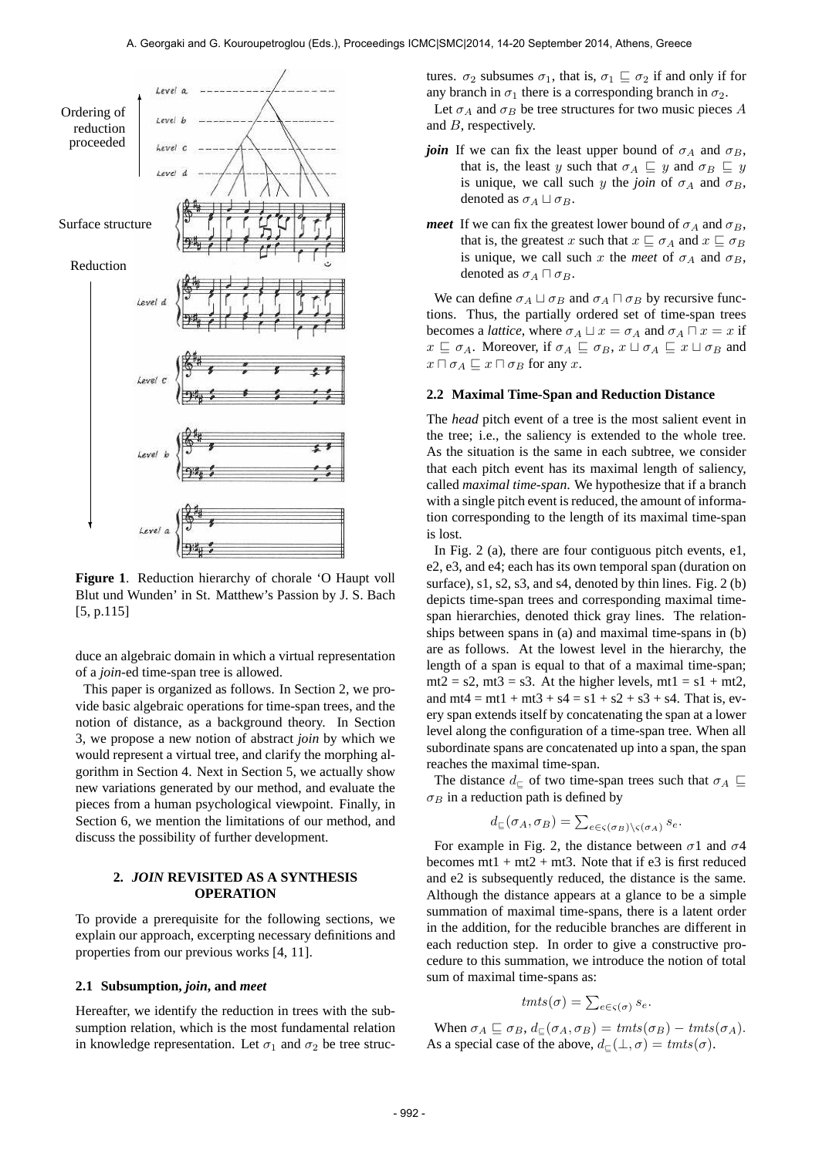and *B*, respectively.



**Figure 1**. Reduction hierarchy of chorale 'O Haupt voll Blut und Wunden' in St. Matthew's Passion by J. S. Bach [5, p.115]

duce an algebraic domain in which a virtual representation of a *join*-ed time-span tree is allowed.

This paper is organized as follows. In Section 2, we provide basic algebraic operations for time-span trees, and the notion of distance, as a background theory. In Section 3, we propose a new notion of abstract *join* by which we would represent a virtual tree, and clarify the morphing algorithm in Section 4. Next in Section 5, we actually show new variations generated by our method, and evaluate the pieces from a human psychological viewpoint. Finally, in Section 6, we mention the limitations of our method, and discuss the possibility of further development.

# **2.** *JOIN* **REVISITED AS A SYNTHESIS OPERATION**

To provide a prerequisite for the following sections, we explain our approach, excerpting necessary definitions and properties from our previous works [4, 11].

## **2.1 Subsumption,** *join***, and** *meet*

Hereafter, we identify the reduction in trees with the subsumption relation, which is the most fundamental relation in knowledge representation. Let  $\sigma_1$  and  $\sigma_2$  be tree structures.  $\sigma_2$  subsumes  $\sigma_1$ , that is,  $\sigma_1 \sqsubseteq \sigma_2$  if and only if for any branch in  $\sigma_1$  there is a corresponding branch in  $\sigma_2$ . Let  $\sigma_A$  and  $\sigma_B$  be tree structures for two music pieces *A* 

- *join* If we can fix the least upper bound of  $\sigma_A$  and  $\sigma_B$ , that is, the least *y* such that  $\sigma_A \subseteq y$  and  $\sigma_B \subseteq y$ is unique, we call such *y* the *join* of  $\sigma_A$  and  $\sigma_B$ , denoted as  $\sigma_A \sqcup \sigma_B$ .
- *meet* If we can fix the greatest lower bound of  $\sigma_A$  and  $\sigma_B$ , that is, the greatest *x* such that  $x \subseteq \sigma_A$  and  $x \subseteq \sigma_B$ is unique, we call such *x* the *meet* of  $\sigma_A$  and  $\sigma_B$ , denoted as  $\sigma_A \sqcap \sigma_B$ .

We can define  $\sigma_A \sqcup \sigma_B$  and  $\sigma_A \sqcap \sigma_B$  by recursive functions. Thus, the partially ordered set of time-span trees becomes a *lattice*, where  $\sigma_A \sqcup x = \sigma_A$  and  $\sigma_A \sqcap x = x$  if  $x \subseteq \sigma_A$ . Moreover, if  $\sigma_A \subseteq \sigma_B$ ,  $x \sqcup \sigma_A \subseteq x \sqcup \sigma_B$  and  $x \sqcap \sigma_A \sqsubseteq x \sqcap \sigma_B$  for any *x*.

## **2.2 Maximal Time-Span and Reduction Distance**

The *head* pitch event of a tree is the most salient event in the tree; i.e., the saliency is extended to the whole tree. As the situation is the same in each subtree, we consider that each pitch event has its maximal length of saliency, called *maximal time-span*. We hypothesize that if a branch with a single pitch event is reduced, the amount of information corresponding to the length of its maximal time-span is lost.

In Fig. 2 (a), there are four contiguous pitch events, e1, e2, e3, and e4; each has its own temporal span (duration on surface), s1, s2, s3, and s4, denoted by thin lines. Fig. 2 (b) depicts time-span trees and corresponding maximal timespan hierarchies, denoted thick gray lines. The relationships between spans in (a) and maximal time-spans in (b) are as follows. At the lowest level in the hierarchy, the length of a span is equal to that of a maximal time-span;  $mt2 = s2$ ,  $mt3 = s3$ . At the higher levels,  $mt1 = s1 + mt2$ , and  $mt4 = mt1 + mt3 + s4 = s1 + s2 + s3 + s4$ . That is, every span extends itself by concatenating the span at a lower level along the configuration of a time-span tree. When all subordinate spans are concatenated up into a span, the span reaches the maximal time-span.

The distance  $d<sub>⊵</sub>$  of two time-span trees such that  $\sigma<sub>A</sub>$  *⊑*  $\sigma_B$  in a reduction path is defined by

$$
d_{\sqsubseteq}(\sigma_A, \sigma_B) = \sum_{e \in \varsigma(\sigma_B) \setminus \varsigma(\sigma_A)} s_e.
$$

For example in Fig. 2, the distance between *σ*1 and *σ*4 becomes  $mt1 + mt2 + mt3$ . Note that if e3 is first reduced and e2 is subsequently reduced, the distance is the same. Although the distance appears at a glance to be a simple summation of maximal time-spans, there is a latent order in the addition, for the reducible branches are different in each reduction step. In order to give a constructive procedure to this summation, we introduce the notion of total sum of maximal time-spans as:

$$
t m t s(\sigma) = \sum_{e \in \varsigma(\sigma)} s_e.
$$

When  $\sigma_A \subseteq \sigma_B$ ,  $d_{\sqsubseteq}(\sigma_A, \sigma_B) = \text{tmts}(\sigma_B) - \text{tmts}(\sigma_A)$ . As a special case of the above,  $d_{\mathcal{L}}(\bot, \sigma) = \text{tmts}(\sigma)$ .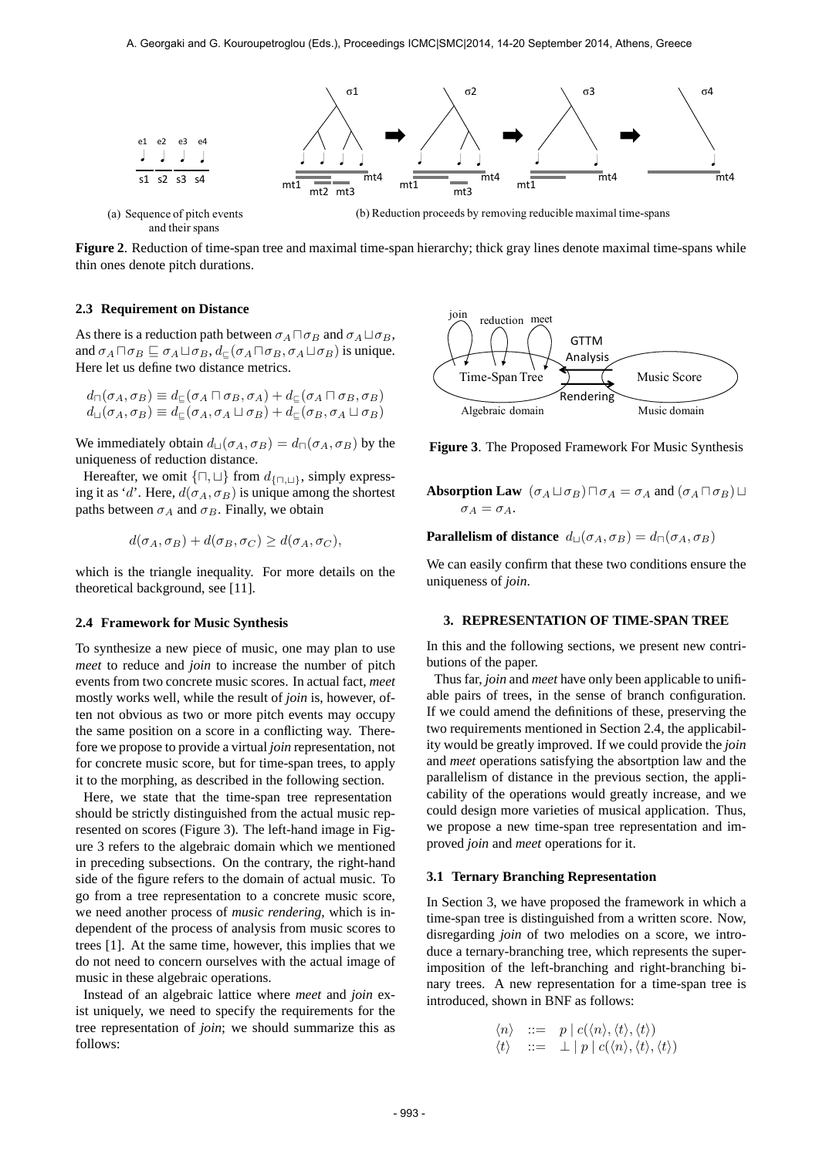

**Figure 2**. Reduction of time-span tree and maximal time-span hierarchy; thick gray lines denote maximal time-spans while thin ones denote pitch durations.

## **2.3 Requirement on Distance**

As there is a reduction path between  $\sigma_A \sqcap \sigma_B$  and  $\sigma_A \sqcup \sigma_B$ , and  $\sigma_A \sqcap \sigma_B \sqsubseteq \sigma_A \sqcup \sigma_B$ ,  $d_{\sqsubset}(\sigma_A \sqcap \sigma_B, \sigma_A \sqcup \sigma_B)$  is unique. Here let us define two distance metrics.

$$
d_{\square}(\sigma_A, \sigma_B) \equiv d_{\square}(\sigma_A \sqcap \sigma_B, \sigma_A) + d_{\square}(\sigma_A \sqcap \sigma_B, \sigma_B)
$$
  

$$
d_{\square}(\sigma_A, \sigma_B) \equiv d_{\square}(\sigma_A, \sigma_A \sqcup \sigma_B) + d_{\square}(\sigma_B, \sigma_A \sqcup \sigma_B)
$$

We immediately obtain  $d_{\text{L}}(\sigma_A, \sigma_B) = d_{\text{L}}(\sigma_A, \sigma_B)$  by the uniqueness of reduction distance.

Hereafter, we omit *{⊓, ⊔}* from *d{⊓,⊔}*, simply expressing it as '*d*'. Here,  $d(\sigma_A, \sigma_B)$  is unique among the shortest paths between  $\sigma_A$  and  $\sigma_B$ . Finally, we obtain

$$
d(\sigma_A, \sigma_B) + d(\sigma_B, \sigma_C) \ge d(\sigma_A, \sigma_C),
$$

which is the triangle inequality. For more details on the theoretical background, see [11].

## **2.4 Framework for Music Synthesis**

To synthesize a new piece of music, one may plan to use *meet* to reduce and *join* to increase the number of pitch events from two concrete music scores. In actual fact, *meet* mostly works well, while the result of *join* is, however, often not obvious as two or more pitch events may occupy the same position on a score in a conflicting way. Therefore we propose to provide a virtual *join* representation, not for concrete music score, but for time-span trees, to apply it to the morphing, as described in the following section.

Here, we state that the time-span tree representation should be strictly distinguished from the actual music represented on scores (Figure 3). The left-hand image in Figure 3 refers to the algebraic domain which we mentioned in preceding subsections. On the contrary, the right-hand side of the figure refers to the domain of actual music. To go from a tree representation to a concrete music score, we need another process of *music rendering*, which is independent of the process of analysis from music scores to trees [1]. At the same time, however, this implies that we do not need to concern ourselves with the actual image of music in these algebraic operations.

Instead of an algebraic lattice where *meet* and *join* exist uniquely, we need to specify the requirements for the tree representation of *join*; we should summarize this as follows:



**Figure 3**. The Proposed Framework For Music Synthesis

**Absorption Law**  $(\sigma_A \sqcup \sigma_B) \sqcap \sigma_A = \sigma_A$  and  $(\sigma_A \sqcap \sigma_B) \sqcup$  $\sigma_A = \sigma_A$ .

**Parallelism of distance**  $d_{\text{U}}(\sigma_A, \sigma_B) = d_{\text{U}}(\sigma_A, \sigma_B)$ 

We can easily confirm that these two conditions ensure the uniqueness of *join*.

#### **3. REPRESENTATION OF TIME-SPAN TREE**

In this and the following sections, we present new contributions of the paper.

Thus far, *join* and *meet* have only been applicable to unifiable pairs of trees, in the sense of branch configuration. If we could amend the definitions of these, preserving the two requirements mentioned in Section 2.4, the applicability would be greatly improved. If we could provide the *join* and *meet* operations satisfying the absortption law and the parallelism of distance in the previous section, the applicability of the operations would greatly increase, and we could design more varieties of musical application. Thus, we propose a new time-span tree representation and improved *join* and *meet* operations for it.

### **3.1 Ternary Branching Representation**

In Section 3, we have proposed the framework in which a time-span tree is distinguished from a written score. Now, disregarding *join* of two melodies on a score, we introduce a ternary-branching tree, which represents the superimposition of the left-branching and right-branching binary trees. A new representation for a time-span tree is introduced, shown in BNF as follows:

$$
\begin{array}{rcl}\n\langle n \rangle & ::= & p \mid c(\langle n \rangle, \langle t \rangle, \langle t \rangle) \\
\langle t \rangle & ::= & \perp \mid p \mid c(\langle n \rangle, \langle t \rangle, \langle t \rangle)\n\end{array}
$$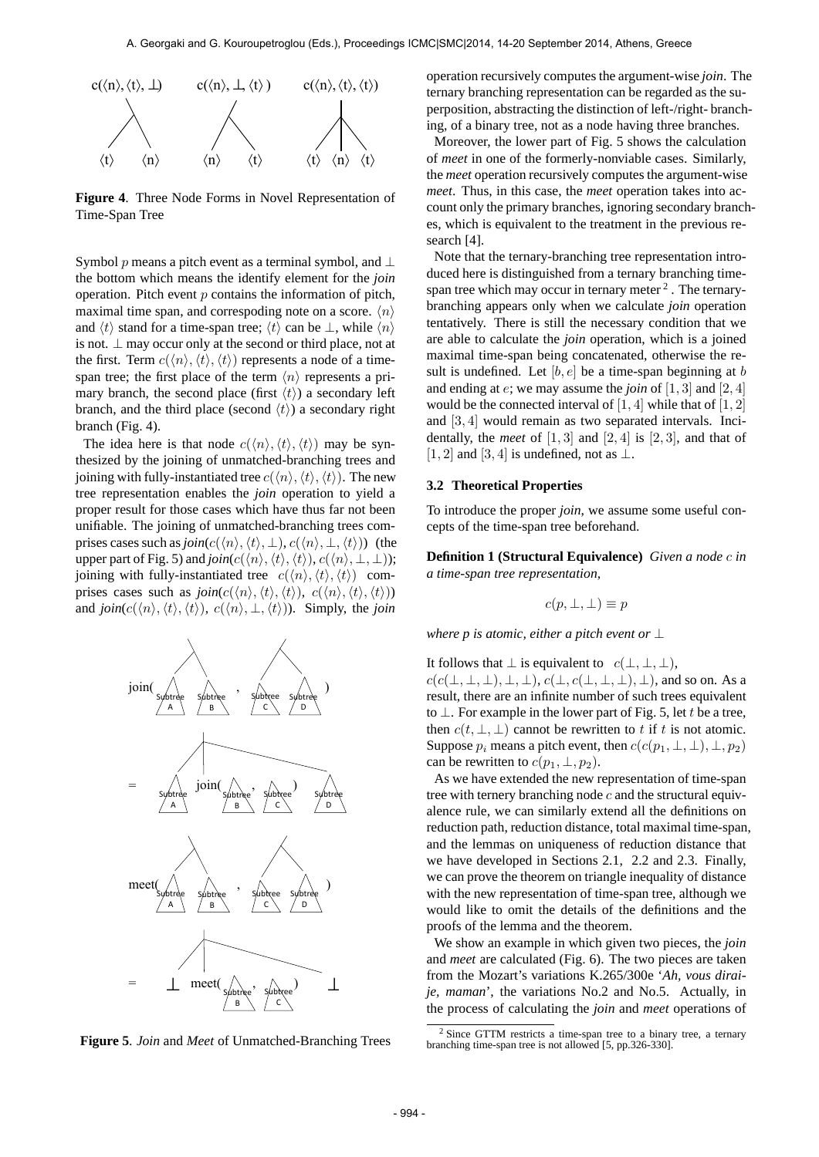

**Figure 4**. Three Node Forms in Novel Representation of Time-Span Tree

Symbol *p* means a pitch event as a terminal symbol, and *⊥* the bottom which means the identify element for the *join* operation. Pitch event *p* contains the information of pitch, maximal time span, and correspoding note on a score. *⟨n⟩* and  $\langle t \rangle$  stand for a time-span tree;  $\langle t \rangle$  can be  $\perp$ , while  $\langle n \rangle$ is not. *⊥* may occur only at the second or third place, not at the first. Term  $c(\langle n \rangle, \langle t \rangle, \langle t \rangle)$  represents a node of a timespan tree; the first place of the term  $\langle n \rangle$  represents a primary branch, the second place (first  $\langle t \rangle$ ) a secondary left branch, and the third place (second  $\langle t \rangle$ ) a secondary right branch (Fig. 4).

The idea here is that node  $c(\langle n \rangle, \langle t \rangle, \langle t \rangle)$  may be synthesized by the joining of unmatched-branching trees and joining with fully-instantiated tree  $c(\langle n \rangle, \langle t \rangle, \langle t \rangle)$ . The new tree representation enables the *join* operation to yield a proper result for those cases which have thus far not been unifiable. The joining of unmatched-branching trees comprises cases such as  $\text{join}(c(\langle n \rangle, \langle t \rangle, \bot), c(\langle n \rangle, \bot, \langle t \rangle))$  (the upper part of Fig. 5) and  $\text{join}(c(\langle n \rangle, \langle t \rangle, \langle t \rangle), c(\langle n \rangle, \bot, \bot))$ ; joining with fully-instantiated tree  $c(\langle n \rangle, \langle t \rangle, \langle t \rangle)$  comprises cases such as  $join(c(\langle n \rangle, \langle t \rangle, \langle t \rangle), c(\langle n \rangle, \langle t \rangle, \langle t \rangle))$ and  $\text{join}(c(\langle n \rangle, \langle t \rangle, \langle t \rangle), c(\langle n \rangle, \perp, \langle t \rangle))$ . Simply, the *join* 



**Figure 5**. *Join* and *Meet* of Unmatched-Branching Trees

operation recursively computes the argument-wise *join*. The ternary branching representation can be regarded as the superposition, abstracting the distinction of left-/right- branching, of a binary tree, not as a node having three branches.

Moreover, the lower part of Fig. 5 shows the calculation of *meet* in one of the formerly-nonviable cases. Similarly, the *meet* operation recursively computes the argument-wise *meet*. Thus, in this case, the *meet* operation takes into account only the primary branches, ignoring secondary branches, which is equivalent to the treatment in the previous research [4].

Note that the ternary-branching tree representation introduced here is distinguished from a ternary branching timespan tree which may occur in ternary meter  $2$ . The ternarybranching appears only when we calculate *join* operation tentatively. There is still the necessary condition that we are able to calculate the *join* operation, which is a joined maximal time-span being concatenated, otherwise the result is undefined. Let [*b, e*] be a time-span beginning at *b* and ending at *e*; we may assume the *join* of [1*,* 3] and [2*,* 4] would be the connected interval of [1*,* 4] while that of [1*,* 2] and [3*,* 4] would remain as two separated intervals. Incidentally, the *meet* of  $[1, 3]$  and  $[2, 4]$  is  $[2, 3]$ , and that of [1*,* 2] and [3*,* 4] is undefined, not as *⊥*.

## **3.2 Theoretical Properties**

To introduce the proper *join*, we assume some useful concepts of the time-span tree beforehand.

**Definition 1 (Structural Equivalence)** *Given a node c in a time-span tree representation,*

$$
c(p, \perp, \perp) \equiv p
$$

*where p is atomic, either a pitch event or ⊥*

It follows that  $\perp$  is equivalent to  $c(\perp, \perp, \perp)$ , *c*(*c*(*⊥, ⊥, ⊥*)*, ⊥, ⊥*), *c*(*⊥, c*(*⊥, ⊥, ⊥*)*, ⊥*), and so on. As a result, there are an infinite number of such trees equivalent to *⊥*. For example in the lower part of Fig. 5, let *t* be a tree, then  $c(t, \perp, \perp)$  cannot be rewritten to *t* if *t* is not atomic. Suppose  $p_i$  means a pitch event, then  $c(c(p_1, \perp, \perp), \perp, p_2)$ can be rewritten to  $c(p_1, \perp, p_2)$ .

As we have extended the new representation of time-span tree with ternery branching node *c* and the structural equivalence rule, we can similarly extend all the definitions on reduction path, reduction distance, total maximal time-span, and the lemmas on uniqueness of reduction distance that we have developed in Sections 2.1, 2.2 and 2.3. Finally, we can prove the theorem on triangle inequality of distance with the new representation of time-span tree, although we would like to omit the details of the definitions and the proofs of the lemma and the theorem.

We show an example in which given two pieces, the *join* and *meet* are calculated (Fig. 6). The two pieces are taken from the Mozart's variations K.265/300e '*Ah, vous diraije, maman*', the variations No.2 and No.5. Actually, in the process of calculating the *join* and *meet* operations of

<sup>2</sup> Since GTTM restricts a time-span tree to a binary tree, a ternary branching time-span tree is not allowed [5, pp.326-330].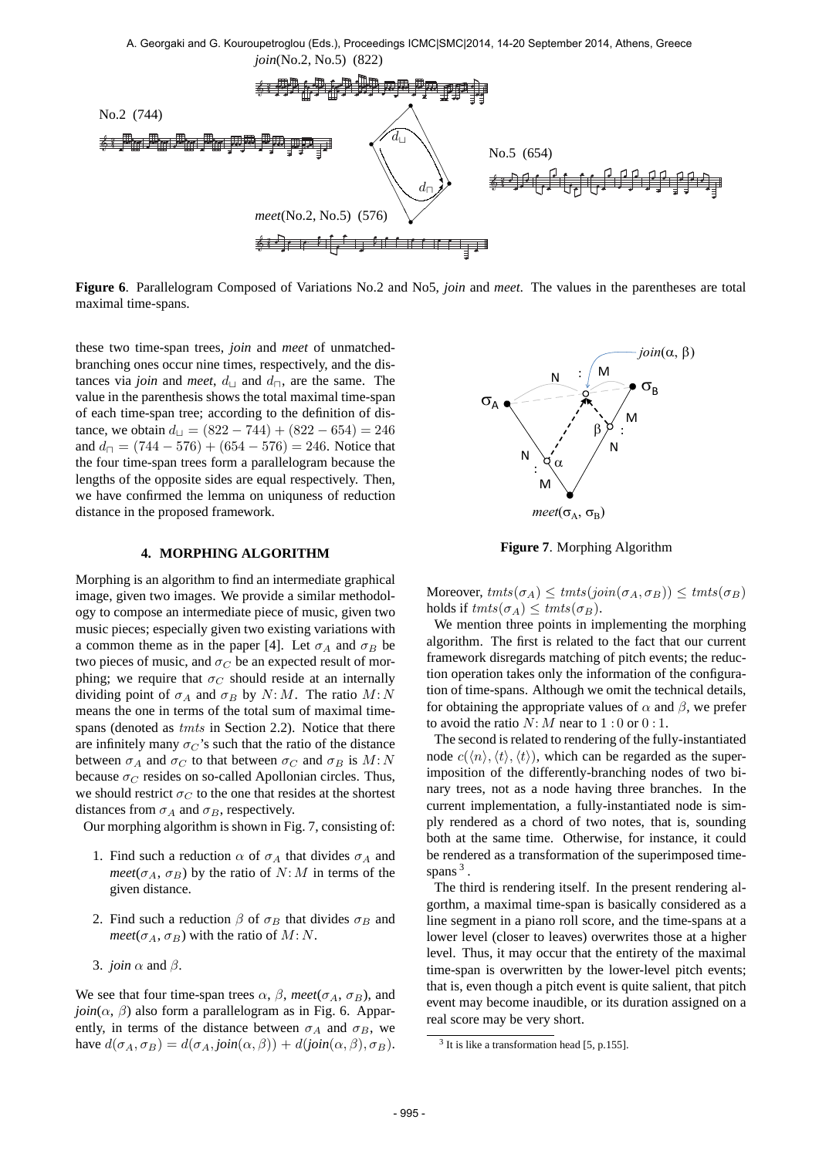

**Figure 6**. Parallelogram Composed of Variations No.2 and No5, *join* and *meet*. The values in the parentheses are total maximal time-spans.

these two time-span trees, *join* and *meet* of unmatchedbranching ones occur nine times, respectively, and the distances via *join* and *meet*,  $d_{\text{L}}$  and  $d_{\text{R}}$ , are the same. The value in the parenthesis shows the total maximal time-span of each time-span tree; according to the definition of distance, we obtain  $d$ <sup>*⊔*</sup> = (822 − 744) + (822 − 654) = 246 and  $d_{\square} = (744 - 576) + (654 - 576) = 246$ . Notice that the four time-span trees form a parallelogram because the lengths of the opposite sides are equal respectively. Then, we have confirmed the lemma on uniquness of reduction distance in the proposed framework.

# **4. MORPHING ALGORITHM**

Morphing is an algorithm to find an intermediate graphical image, given two images. We provide a similar methodology to compose an intermediate piece of music, given two music pieces; especially given two existing variations with a common theme as in the paper [4]. Let  $\sigma_A$  and  $\sigma_B$  be two pieces of music, and  $\sigma_C$  be an expected result of morphing; we require that  $\sigma_C$  should reside at an internally dividing point of  $\sigma_A$  and  $\sigma_B$  by  $N: M$ . The ratio  $M: N$ means the one in terms of the total sum of maximal timespans (denoted as *tmts* in Section 2.2). Notice that there are infinitely many  $\sigma_C$ 's such that the ratio of the distance between  $\sigma_A$  and  $\sigma_C$  to that between  $\sigma_C$  and  $\sigma_B$  is  $M: N$ because  $\sigma_C$  resides on so-called Apollonian circles. Thus, we should restrict  $\sigma_C$  to the one that resides at the shortest distances from  $\sigma_A$  and  $\sigma_B$ , respectively.

Our morphing algorithm is shown in Fig. 7, consisting of:

- 1. Find such a reduction  $\alpha$  of  $\sigma_A$  that divides  $\sigma_A$  and *meet*( $\sigma_A$ ,  $\sigma_B$ ) by the ratio of *N*: *M* in terms of the given distance.
- 2. Find such a reduction  $\beta$  of  $\sigma_B$  that divides  $\sigma_B$  and *meet*( $\sigma_A$ ,  $\sigma_B$ ) with the ratio of *M*: *N*.
- 3. *join α* and *β*.

We see that four time-span trees  $\alpha$ ,  $\beta$ , meet( $\sigma$ <sub>A</sub>,  $\sigma$ <sub>*B*</sub>), and  $join(\alpha, \beta)$  also form a parallelogram as in Fig. 6. Apparently, in terms of the distance between  $\sigma_A$  and  $\sigma_B$ , we have  $d(\sigma_A, \sigma_B) = d(\sigma_A, \text{join}(\alpha, \beta)) + d(\text{join}(\alpha, \beta), \sigma_B)$ .



**Figure 7**. Morphing Algorithm

 $M$ oreover,  $tmts(\sigma_A) \leq tmts(join(\sigma_A, \sigma_B)) \leq tmts(\sigma_B)$ holds if  $tmts(\sigma_A) \leq tmts(\sigma_B)$ .

We mention three points in implementing the morphing algorithm. The first is related to the fact that our current framework disregards matching of pitch events; the reduction operation takes only the information of the configuration of time-spans. Although we omit the technical details, for obtaining the appropriate values of  $\alpha$  and  $\beta$ , we prefer to avoid the ratio  $N: M$  near to  $1:0$  or  $0:1$ .

The second is related to rendering of the fully-instantiated node  $c(\langle n \rangle, \langle t \rangle, \langle t \rangle)$ , which can be regarded as the superimposition of the differently-branching nodes of two binary trees, not as a node having three branches. In the current implementation, a fully-instantiated node is simply rendered as a chord of two notes, that is, sounding both at the same time. Otherwise, for instance, it could be rendered as a transformation of the superimposed timespans<sup>3</sup>.

The third is rendering itself. In the present rendering algorthm, a maximal time-span is basically considered as a line segment in a piano roll score, and the time-spans at a lower level (closer to leaves) overwrites those at a higher level. Thus, it may occur that the entirety of the maximal time-span is overwritten by the lower-level pitch events; that is, even though a pitch event is quite salient, that pitch event may become inaudible, or its duration assigned on a real score may be very short.

<sup>&</sup>lt;sup>3</sup> It is like a transformation head [5, p.155].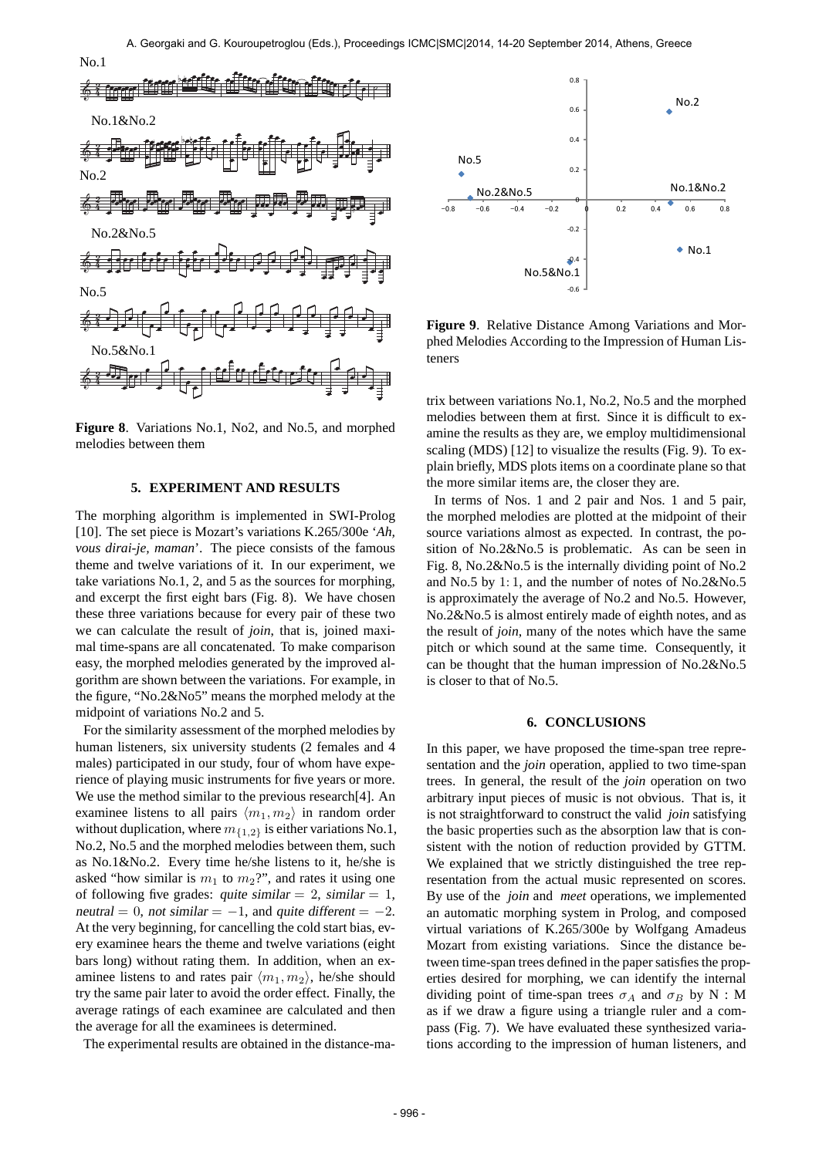



**Figure 8**. Variations No.1, No2, and No.5, and morphed melodies between them

# **5. EXPERIMENT AND RESULTS**

The morphing algorithm is implemented in SWI-Prolog [10]. The set piece is Mozart's variations K.265/300e '*Ah, vous dirai-je, maman*'. The piece consists of the famous theme and twelve variations of it. In our experiment, we take variations No.1, 2, and 5 as the sources for morphing, and excerpt the first eight bars (Fig. 8). We have chosen these three variations because for every pair of these two we can calculate the result of *join*, that is, joined maximal time-spans are all concatenated. To make comparison easy, the morphed melodies generated by the improved algorithm are shown between the variations. For example, in the figure, "No.2&No5" means the morphed melody at the midpoint of variations No.2 and 5.

For the similarity assessment of the morphed melodies by human listeners, six university students (2 females and 4 males) participated in our study, four of whom have experience of playing music instruments for five years or more. We use the method similar to the previous research[4]. An examinee listens to all pairs  $\langle m_1, m_2 \rangle$  in random order without duplication, where  $m_{\{1,2\}}$  is either variations No.1, No.2, No.5 and the morphed melodies between them, such as No.1&No.2. Every time he/she listens to it, he/she is asked "how similar is  $m_1$  to  $m_2$ ?", and rates it using one of following five grades: quite similar  $= 2$ , similar  $= 1$ , neutral = 0, not similar =  $-1$ , and quite different =  $-2$ . At the very beginning, for cancelling the cold start bias, every examinee hears the theme and twelve variations (eight bars long) without rating them. In addition, when an examinee listens to and rates pair  $\langle m_1, m_2 \rangle$ , he/she should try the same pair later to avoid the order effect. Finally, the average ratings of each examinee are calculated and then the average for all the examinees is determined.

The experimental results are obtained in the distance-ma-



**Figure 9**. Relative Distance Among Variations and Morphed Melodies According to the Impression of Human Listeners

trix between variations No.1, No.2, No.5 and the morphed melodies between them at first. Since it is difficult to examine the results as they are, we employ multidimensional scaling (MDS) [12] to visualize the results (Fig. 9). To explain briefly, MDS plots items on a coordinate plane so that the more similar items are, the closer they are.

In terms of Nos. 1 and 2 pair and Nos. 1 and 5 pair, the morphed melodies are plotted at the midpoint of their source variations almost as expected. In contrast, the position of No.2&No.5 is problematic. As can be seen in Fig. 8, No.2&No.5 is the internally dividing point of No.2 and No.5 by 1: 1, and the number of notes of No.2&No.5 is approximately the average of No.2 and No.5. However, No.2&No.5 is almost entirely made of eighth notes, and as the result of *join*, many of the notes which have the same pitch or which sound at the same time. Consequently, it can be thought that the human impression of No.2&No.5 is closer to that of No.5.

## **6. CONCLUSIONS**

In this paper, we have proposed the time-span tree representation and the *join* operation, applied to two time-span trees. In general, the result of the *join* operation on two arbitrary input pieces of music is not obvious. That is, it is not straightforward to construct the valid *join* satisfying the basic properties such as the absorption law that is consistent with the notion of reduction provided by GTTM. We explained that we strictly distinguished the tree representation from the actual music represented on scores. By use of the *join* and *meet* operations, we implemented an automatic morphing system in Prolog, and composed virtual variations of K.265/300e by Wolfgang Amadeus Mozart from existing variations. Since the distance between time-span trees defined in the paper satisfies the properties desired for morphing, we can identify the internal dividing point of time-span trees  $\sigma_A$  and  $\sigma_B$  by N : M as if we draw a figure using a triangle ruler and a compass (Fig. 7). We have evaluated these synthesized variations according to the impression of human listeners, and